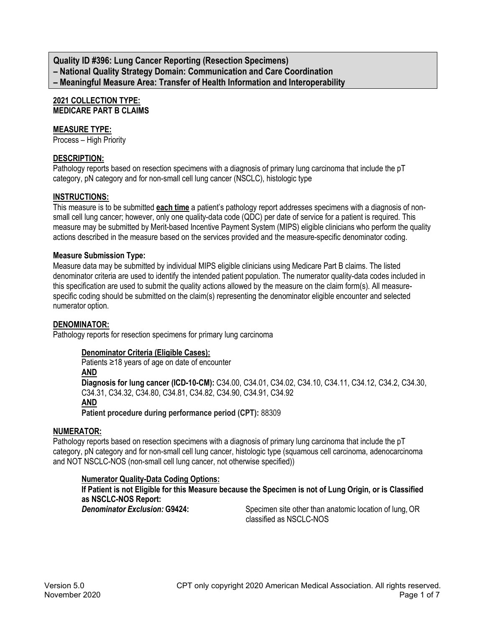**Quality ID #396: Lung Cancer Reporting (Resection Specimens) – National Quality Strategy Domain: Communication and Care Coordination – Meaningful Measure Area: Transfer of Health Information and Interoperability**

## **2021 COLLECTION TYPE: MEDICARE PART B CLAIMS**

### **MEASURE TYPE:**

Process – High Priority

### **DESCRIPTION:**

Pathology reports based on resection specimens with a diagnosis of primary lung carcinoma that include the pT category, pN category and for non-small cell lung cancer (NSCLC), histologic type

### **INSTRUCTIONS:**

This measure is to be submitted **each time** a patient's pathology report addresses specimens with a diagnosis of nonsmall cell lung cancer; however, only one quality-data code (QDC) per date of service for a patient is required. This measure may be submitted by Merit-based Incentive Payment System (MIPS) eligible clinicians who perform the quality actions described in the measure based on the services provided and the measure-specific denominator coding.

#### **Measure Submission Type:**

Measure data may be submitted by individual MIPS eligible clinicians using Medicare Part B claims. The listed denominator criteria are used to identify the intended patient population. The numerator quality-data codes included in this specification are used to submit the quality actions allowed by the measure on the claim form(s). All measurespecific coding should be submitted on the claim(s) representing the denominator eligible encounter and selected numerator option.

#### **DENOMINATOR:**

Pathology reports for resection specimens for primary lung carcinoma

#### **Denominator Criteria (Eligible Cases):**

Patients ≥18 years of age on date of encounter

**AND**

**Diagnosis for lung cancer (ICD-10-CM):** C34.00, C34.01, C34.02, C34.10, C34.11, C34.12, C34.2, C34.30, C34.31, C34.32, C34.80, C34.81, C34.82, C34.90, C34.91, C34.92

### **AND**

**Patient procedure during performance period (CPT):** 88309

### **NUMERATOR:**

Pathology reports based on resection specimens with a diagnosis of primary lung carcinoma that include the pT category, pN category and for non-small cell lung cancer, histologic type (squamous cell carcinoma, adenocarcinoma and NOT NSCLC-NOS (non-small cell lung cancer, not otherwise specified))

#### **Numerator Quality-Data Coding Options:**

**If Patient is not Eligible for this Measure because the Specimen is not of Lung Origin, or is Classified as NSCLC-NOS Report: Denominator Exclusion: G9424:** Specimen site other than anatomic location of lung, OR classified as NSCLC-NOS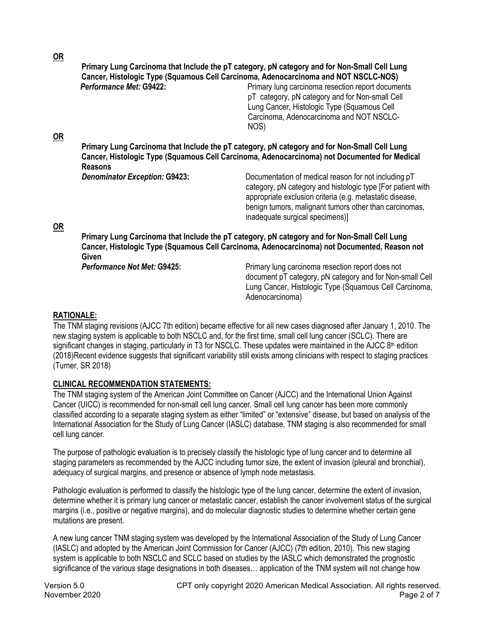**OR**

|           |                                      | Primary Lung Carcinoma that Include the pT category, pN category and for Non-Small Cell Lung<br>Cancer, Histologic Type (Squamous Cell Carcinoma, Adenocarcinoma and NOT NSCLC-NOS)                                                                                          |
|-----------|--------------------------------------|------------------------------------------------------------------------------------------------------------------------------------------------------------------------------------------------------------------------------------------------------------------------------|
|           | Performance Met: G9422:              | Primary lung carcinoma resection report documents<br>pT category, pN category and for Non-small Cell<br>Lung Cancer, Histologic Type (Squamous Cell<br>Carcinoma, Adenocarcinoma and NOT NSCLC-<br>NOS)                                                                      |
| OR        |                                      |                                                                                                                                                                                                                                                                              |
|           | <b>Reasons</b>                       | Primary Lung Carcinoma that Include the pT category, pN category and for Non-Small Cell Lung<br>Cancer, Histologic Type (Squamous Cell Carcinoma, Adenocarcinoma) not Documented for Medical                                                                                 |
|           | <b>Denominator Exception: G9423:</b> | Documentation of medical reason for not including pT<br>category, pN category and histologic type [For patient with<br>appropriate exclusion criteria (e.g. metastatic disease,<br>benign tumors, malignant tumors other than carcinomas,<br>inadequate surgical specimens)] |
| <b>OR</b> |                                      | ب ا الم0 المعرف السوارات المعرفين بين محكم بالقرن بعده من 15 ملك ما يتم المعلك معرفين معرف معرف المستطر                                                                                                                                                                      |

**Primary Lung Carcinoma that Include the pT category, pN category and for Non-Small Cell Lung Cancer, Histologic Type (Squamous Cell Carcinoma, Adenocarcinoma) not Documented, Reason not**  Given<br>Performance Not Met: G9425:

**Primary lung carcinoma resection report does not** document pT category, pN category and for Non-small Cell Lung Cancer, Histologic Type (Squamous Cell Carcinoma, Adenocarcinoma)

#### **RATIONALE:**

The TNM staging revisions (AJCC 7th edition) became effective for all new cases diagnosed after January 1, 2010. The new staging system is applicable to both NSCLC and, for the first time, small cell lung cancer (SCLC). There are significant changes in staging, particularly in T3 for NSCLC. These updates were maintained in the AJCC 8<sup>th</sup> edition (2018)Recent evidence suggests that significant variability still exists among clinicians with respect to staging practices (Turner, SR 2018)

### **CLINICAL RECOMMENDATION STATEMENTS:**

The TNM staging system of the American Joint Committee on Cancer (AJCC) and the International Union Against Cancer (UICC) is recommended for non-small cell lung cancer. Small cell lung cancer has been more commonly classified according to a separate staging system as either "limited" or "extensive" disease, but based on analysis of the International Association for the Study of Lung Cancer (IASLC) database, TNM staging is also recommended for small cell lung cancer.

The purpose of pathologic evaluation is to precisely classify the histologic type of lung cancer and to determine all staging parameters as recommended by the AJCC including tumor size, the extent of invasion (pleural and bronchial), adequacy of surgical margins, and presence or absence of lymph node metastasis.

Pathologic evaluation is performed to classify the histologic type of the lung cancer, determine the extent of invasion, determine whether it is primary lung cancer or metastatic cancer, establish the cancer involvement status of the surgical margins (i.e., positive or negative margins), and do molecular diagnostic studies to determine whether certain gene mutations are present.

A new lung cancer TNM staging system was developed by the International Association of the Study of Lung Cancer (IASLC) and adopted by the American Joint Commission for Cancer (AJCC) (7th edition, 2010). This new staging system is applicable to both NSCLC and SCLC based on studies by the IASLC which demonstrated the prognostic significance of the various stage designations in both diseases… application of the TNM system will not change how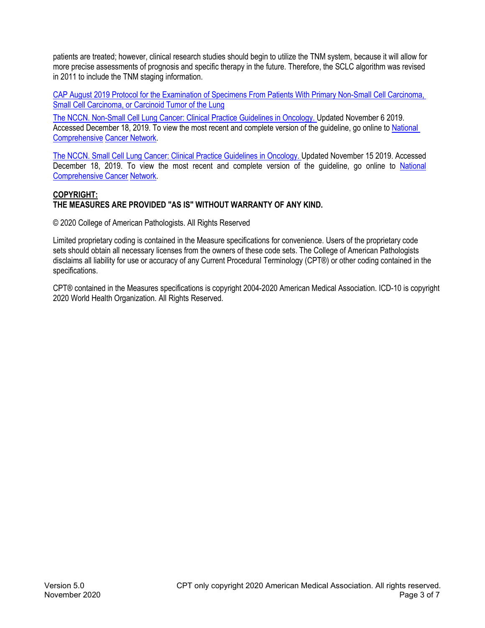patients are treated; however, clinical research studies should begin to utilize the TNM system, because it will allow for more precise assessments of prognosis and specific therapy in the future. Therefore, the SCLC algorithm was revised in 2011 to include the TNM staging information.

CAP August 2019 [Protocol for the Examination of Specimens From Patients With Primary Non-Small Cell Carcinoma,](https://documents.cap.org/protocols/cp-thorax-lung-resection-19-4100.pdf)  Small Cell Carcinoma, or Carcinoid Tumor of the Lung

[The NCCN. Non-Small Cell Lung Cancer: Clinical Practice Guidelines in Oncology.](https://www.nccn.org/professionals/physician_gls/pdf/nscl.pdf) Updated November 6 2019. Accessed December 18, 2019. To view the most recent and complete version of the guideline, go online t[o National](http://www.nccn.org/)  Comprehensive [Cancer Network.](http://www.nccn.org/)

The NCCN. Small Cell Lung [Cancer: Clinical Practice Guidelines in Oncology.](https://www.nccn.org/professionals/physician_gls/pdf/sclc.pdf) Updated November 15 2019. Accessed December 18, 2019. To view the most recent and complete version of the guideline, go online to National [Comprehensive Cancer](http://www.nccn.org/) Network.

#### **COPYRIGHT: THE MEASURES ARE PROVIDED "AS IS" WITHOUT WARRANTY OF ANY KIND.**

© 2020 College of American Pathologists. All Rights Reserved

Limited proprietary coding is contained in the Measure specifications for convenience. Users of the proprietary code sets should obtain all necessary licenses from the owners of these code sets. The College of American Pathologists disclaims all liability for use or accuracy of any Current Procedural Terminology (CPT®) or other coding contained in the specifications.

CPT® contained in the Measures specifications is copyright 2004-2020 American Medical Association. ICD-10 is copyright 2020 World Health Organization. All Rights Reserved.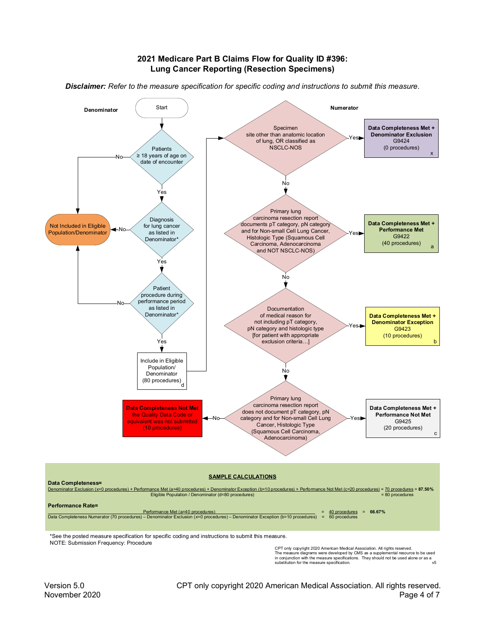#### **2021 Medicare Part B Claims Flow for Quality ID #396: Lung Cancer Reporting (Resection Specimens)**



*Disclaimer: Refer to the measure specification for specific coding and instructions to submit this measure.*

\*See the posted measure specification for specific coding and instructions to submit this measure. NOTE: Submission Frequency: Procedure

CPT only copyright 2020 American Medical Association. All rights reserved. The measure diagrams were developed by CMS as a supplemental resource to be used in conjunction with the measure specifications. They should not be used alone or as a substitution for the measure specification. v5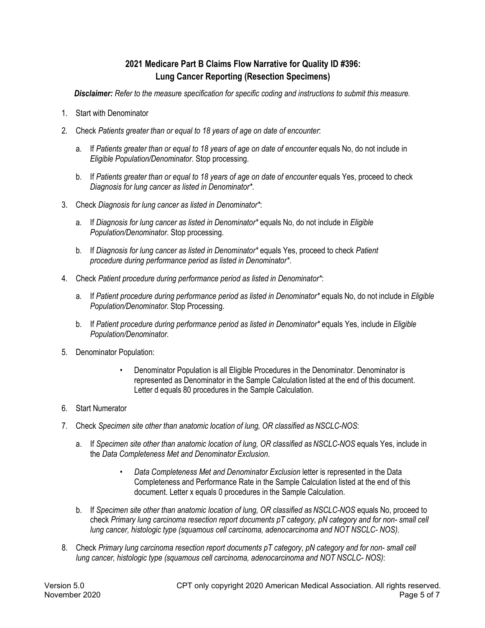# **2021 Medicare Part B Claims Flow Narrative for Quality ID #396: Lung Cancer Reporting (Resection Specimens)**

*Disclaimer: Refer to the measure specification for specific coding and instructions to submit this measure.*

- 1. Start with Denominator
- 2. Check *Patients greater than or equal to 18 years of age on date of encounter*:
	- a. If *Patients greater than or equal to 18 years of age on date of encounter* equals No, do not include in *Eligible Population/Denominator*. Stop processing.
	- b. If *Patients greater than or equal to 18 years of age on date of encounter* equals Yes, proceed to check *Diagnosis for lung cancer as listed in Denominator\**.
- 3. Check *Diagnosis for lung cancer as listed in Denominator\**:
	- a. If *Diagnosis for lung cancer as listed in Denominator\** equals No, do not include in *Eligible Population/Denominator*. Stop processing.
	- b. If *Diagnosis for lung cancer as listed in Denominator\** equals Yes, proceed to check *Patient procedure during performance period as listed in Denominator\**.
- 4. Check *Patient procedure during performance period as listed in Denominator\**:
	- a. If *Patient procedure during performance period as listed in Denominator\** equals No, do not include in *Eligible Population/Denominator*. Stop Processing.
	- b. If *Patient procedure during performance period as listed in Denominator\** equals Yes, include in *Eligible Population/Denominator*.
- 5. Denominator Population:
	- Denominator Population is all Eligible Procedures in the Denominator. Denominator is represented as Denominator in the Sample Calculation listed at the end of this document. Letter d equals 80 procedures in the Sample Calculation.
- 6. Start Numerator
- 7. Check *Specimen site other than anatomic location of lung, OR classified as NSCLC-NOS*:
	- a. If *Specimen site other than anatomic location of lung, OR classified as NSCLC-NOS* equals Yes, include in the *Data Completeness Met and Denominator Exclusion*.
		- *Data Completeness Met and Denominator Exclusion* letter is represented in the Data Completeness and Performance Rate in the Sample Calculation listed at the end of this document. Letter x equals 0 procedures in the Sample Calculation.
	- b. If *Specimen site other than anatomic location of lung, OR classified as NSCLC-NOS* equals No, proceed to check *Primary lung carcinoma resection report documents pT category, pN category and for non- small cell lung cancer, histologic type (squamous cell carcinoma, adenocarcinoma and NOT NSCLC- NOS)*.
- 8. Check *Primary lung carcinoma resection report documents pT category, pN category and for non- small cell lung cancer, histologic type (squamous cell carcinoma, adenocarcinoma and NOT NSCLC- NOS)*: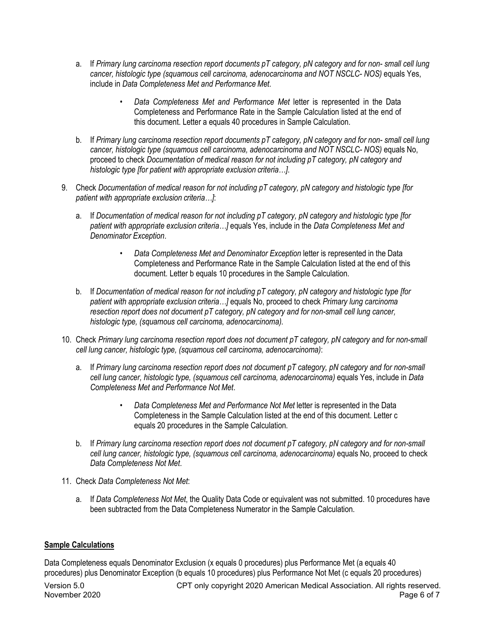- a. If *Primary lung carcinoma resection report documents pT category, pN category and for non- small cell lung cancer, histologic type (squamous cell carcinoma, adenocarcinoma and NOT NSCLC- NOS)* equals Yes, include in *Data Completeness Met and Performance Met*.
	- *Data Completeness Met and Performance Met* letter is represented in the Data Completeness and Performance Rate in the Sample Calculation listed at the end of this document. Letter a equals 40 procedures in Sample Calculation.
- b. If *Primary lung carcinoma resection report documents pT category, pN category and for non- small cell lung cancer, histologic type (squamous cell carcinoma, adenocarcinoma and NOT NSCLC- NOS)* equals No, proceed to check *Documentation of medical reason for not including pT category, pN category and histologic type [for patient with appropriate exclusion criteria…]*.
- 9. Check *Documentation of medical reason for not including pT category, pN category and histologic type [for patient with appropriate exclusion criteria…]*:
	- a. If *Documentation of medical reason for not including pT category, pN category and histologic type [for patient with appropriate exclusion criteria…]* equals Yes, include in the *Data Completeness Met and Denominator Exception*.
		- *Data Completeness Met and Denominator Exception* letter is represented in the Data Completeness and Performance Rate in the Sample Calculation listed at the end of this document. Letter b equals 10 procedures in the Sample Calculation.
	- b. If *Documentation of medical reason for not including pT category, pN category and histologic type [for patient with appropriate exclusion criteria…]* equals No, proceed to check *Primary lung carcinoma resection report does not document pT category, pN category and for non-small cell lung cancer, histologic type, (squamous cell carcinoma, adenocarcinoma).*
- 10. Check *Primary lung carcinoma resection report does not document pT category, pN category and for non-small cell lung cancer, histologic type, (squamous cell carcinoma, adenocarcinoma)*:
	- a. If *Primary lung carcinoma resection report does not document pT category, pN category and for non-small cell lung cancer, histologic type, (squamous cell carcinoma, adenocarcinoma)* equals Yes, include in *Data Completeness Met and Performance Not Met*.
		- *Data Completeness Met and Performance Not Met* letter is represented in the Data Completeness in the Sample Calculation listed at the end of this document. Letter c equals 20 procedures in the Sample Calculation.
	- b. If *Primary lung carcinoma resection report does not document pT category, pN category and for non-small*  cell lung cancer, histologic type, (squamous cell carcinoma, adenocarcinoma) equals No, proceed to check *Data Completeness Not Met*.
- 11. Check *Data Completeness Not Met*:
	- a. If *Data Completeness Not Met*, the Quality Data Code or equivalent was not submitted. 10 procedures have been subtracted from the Data Completeness Numerator in the Sample Calculation.

### **Sample Calculations**

Data Completeness equals Denominator Exclusion (x equals 0 procedures) plus Performance Met (a equals 40 procedures) plus Denominator Exception (b equals 10 procedures) plus Performance Not Met (c equals 20 procedures)